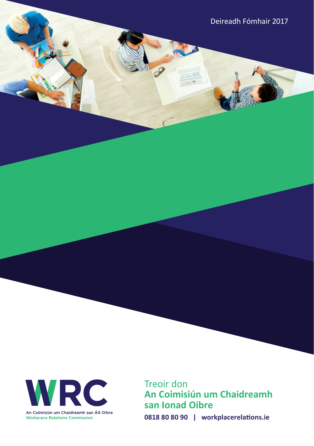Deireadh Fómhair 2017



Treoir don **An Coimisiún um Chaidreamh san Ionad Oibre 0818 80 80 90 | workplacerelations.ie**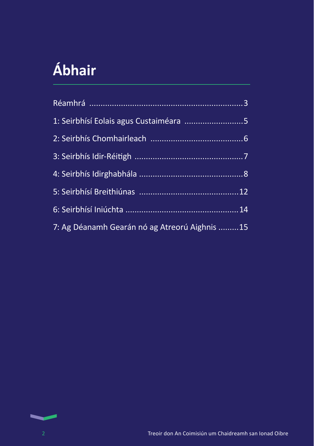# **Ábhair**

| 1: Seirbhísí Eolais agus Custaiméara 5        |  |
|-----------------------------------------------|--|
|                                               |  |
|                                               |  |
|                                               |  |
|                                               |  |
|                                               |  |
| 7: Ag Déanamh Gearán nó ag Atreorú Aighnis 15 |  |



 $\sim$ ٠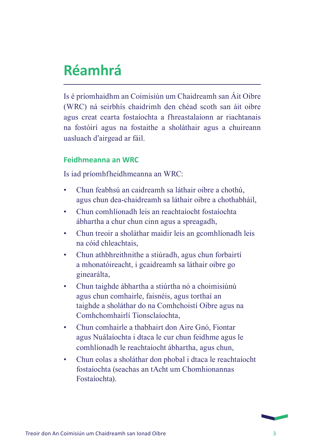## **Réamhrá**

Is é príomhaidhm an Coimisiún um Chaidreamh san Áit Oibre (WRC) ná seirbhís chaidrimh den chéad scoth san áit oibre agus creat cearta fostaíochta a fhreastalaíonn ar riachtanais na fostóirí agus na fostaithe a sholáthair agus a chuireann uasluach d'airgead ar fáil.

#### **Feidhmeanna an WRC**

Is iad príomhfheidhmeanna an WRC:

- Chun feabhsú an caidreamh sa láthair oibre a chothú, agus chun dea-chaidreamh sa láthair oibre a chothabháil,
- Chun comhlíonadh leis an reachtaíocht fostaíochta ábhartha a chur chun cinn agus a spreagadh,
- Chun treoir a sholáthar maidir leis an gcomhlíonadh leis na cóid chleachtais,
- Chun athbhreithnithe a stiúradh, agus chun forbairtí a mhonatóireacht, i gcaidreamh sa láthair oibre go ginearálta,
- Chun taighde ábhartha a stiúrtha nó a choimisiúnú agus chun comhairle, faisnéis, agus torthaí an taighde a sholáthar do na Comhchoistí Oibre agus na Comhchomhairlí Tionsclaíochta,
- Chun comhairle a thabhairt don Aire Gnó, Fiontar agus Nuálaíochta i dtaca le cur chun feidhme agus le comhlíonadh le reachtaíocht ábhartha, agus chun,
- Chun eolas a sholáthar don phobal i dtaca le reachtaíocht fostaíochta (seachas an tAcht um Chomhionannas Fostaíochta).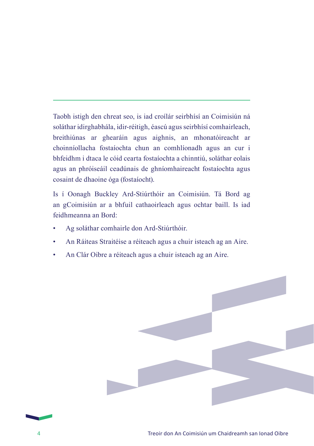Taobh istigh den chreat seo, is iad croílár seirbhísí an Coimisiún ná soláthar idirghabhála, idir-réitigh, éascú agus seirbhísí comhairleach, breithiúnas ar ghearáin agus aighnis, an mhonatóireacht ar choinníollacha fostaíochta chun an comhlíonadh agus an cur i bhfeidhm i dtaca le cóid cearta fostaíochta a chinntiú, soláthar eolais agus an phróiseáil ceadúnais de ghníomhaireacht fostaíochta agus cosaint de dhaoine óga (fostaíocht).

Is í Oonagh Buckley Ard-Stiúrthóir an Coimisiún. Tá Bord ag an gCoimisiún ar a bhfuil cathaoirleach agus ochtar baill. Is iad feidhmeanna an Bord:

- Ag soláthar comhairle don Ard-Stiúrthóir.
- An Ráiteas Straitéise a réiteach agus a chuir isteach ag an Aire.
- An Clár Oibre a réiteach agus a chuir isteach ag an Aire.



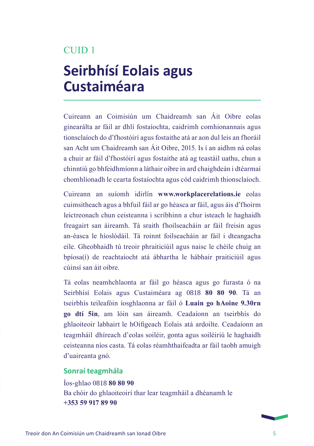## **Seirbhísí Eolais agus Custaiméara**

Cuireann an Coimisiún um Chaidreamh san Áit Oibre eolas ginearálta ar fáil ar dhlí fostaíochta, caidrimh comhionannais agus tionsclaíoch do d'fhostóirí agus fostaithe atá ar aon dul leis an fhoráil san Acht um Chaidreamh san Áit Oibre, 2015. Is í an aidhm ná eolas a chuir ar fáil d'fhostóirí agus fostaithe atá ag teastáil uathu, chun a chinntiú go bhfeidhmíonn a láthair oibre in ard chaighdeán i dtéarmaí chomhlíonadh le cearta fostaíochta agus cód caidrimh thionsclaíoch.

Cuireann an suíomh idirlín **www.workplacerelations.ie** eolas cuimsitheach agus a bhfuil fáil ar go héasca ar fáil, agus áis d'fhoirm leictreonach chun ceisteanna i scríbhinn a chur isteach le haghaidh freagairt san áireamh. Tá sraith fhoilseacháin ar fáil freisin agus an-éasca le híoslódáil. Tá roinnt foilseacháin ar fáil i dteangacha eile. Gheobhaidh tú treoir phraiticiúil agus naisc le chéile chuig an bpíosa(í) de reachtaíocht atá ábhartha le hábhair praiticiúil agus cúinsí san áit oibre.

Tá eolas neamhchlaonta ar fáil go héasca agus go furasta ó na Seirbhísí Eolais agus Custaiméara ag 0818 **80 80 90**. Tá an tseirbhís teileafóin íosghlaonna ar fáil ó **Luain go hAoine 9.30rn go dtí 5in**, am lóin san áireamh. Ceadaíonn an tseirbhís do ghlaoiteoir labhairt le hOifigeach Eolais atá ardoilte. Ceadaíonn an teagmháil dhíreach d'eolas soiléir, gonta agus soiléiriú le haghaidh ceisteanna níos casta. Tá eolas réamhthaifeadta ar fáil taobh amuigh d'uaireanta gnó.

#### **Sonraí teagmhála**

Íos-ghlao 0818 **80 80 90** Ba chóir do ghlaoiteoirí thar lear teagmháil a dhéanamh le **+353 59 917 89 90**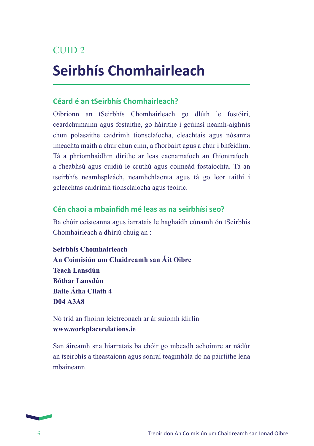## **Seirbhís Chomhairleach**

#### **Céard é an tSeirbhís Chomhairleach?**

Oibríonn an tSeirbhís Chomhairleach go dlúth le fostóirí, ceardchumainn agus fostaithe, go háirithe i gcúinsí neamh-aighnis chun polasaithe caidrimh tionsclaíocha, cleachtais agus nósanna imeachta maith a chur chun cinn, a fhorbairt agus a chur i bhfeidhm. Tá a phríomhaidhm dírithe ar leas eacnamaíoch an fhiontraíocht a fheabhsú agus cuidiú le cruthú agus coimeád fostaíochta. Tá an tseirbhís neamhspleách, neamhchlaonta agus tá go leor taithí i gcleachtas caidrimh tionsclaíocha agus teoiric.

#### **Cén chaoi a mbainfidh mé leas as na seirbhísí seo?**

Ba chóir ceisteanna agus iarratais le haghaidh cúnamh ón tSeirbhís Chomhairleach a dhíriú chuig an :

**Seirbhís Chomhairleach An Coimisiún um Chaidreamh san Áit Oibre Teach Lansdún Bóthar Lansdún Baile Átha Cliath 4 D04 A3A8**

Nó tríd an fhoirm leictreonach ar ár suíomh idirlín **www.workplacerelations.ie**

San áireamh sna hiarratais ba chóir go mbeadh achoimre ar nádúr an tseirbhís a theastaíonn agus sonraí teagmhála do na páirtithe lena mbaineann.

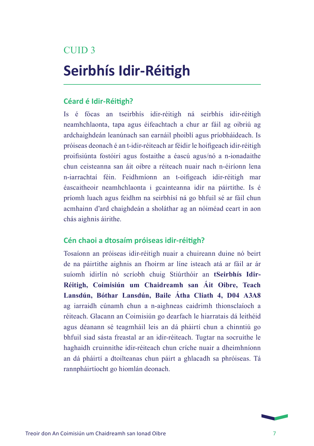## **Seirbhís Idir-Réitigh**

#### **Céard é Idir-Réitigh?**

Is é fócas an tseirbhís idir-réitigh ná seirbhís idir-réitigh neamhchlaonta, tapa agus éifeachtach a chur ar fáil ag oibriú ag ardchaighdeán leanúnach san earnáil phoiblí agus príobháideach. Is próiseas deonach é an t-idir-réiteach ar féidir le hoifigeach idir-réitigh proifisiúnta fostóirí agus fostaithe a éascú agus/nó a n-ionadaithe chun ceisteanna san áit oibre a réiteach nuair nach n-éiríonn lena n-iarrachtaí féin. Feidhmíonn an t-oifigeach idir-réitigh mar éascaitheoir neamhchlaonta i gcainteanna idir na páirtithe. Is é príomh luach agus feidhm na seirbhísí ná go bhfuil sé ar fáil chun acmhainn d'ard chaighdeán a sholáthar ag an nóiméad ceart in aon chás aighnis áirithe.

#### **Cén chaoi a dtosaím próiseas idir-réitigh?**

Tosaíonn an próiseas idir-réitigh nuair a chuireann duine nó beirt de na páirtithe aighnis an fhoirm ar líne isteach atá ar fáil ar ár suíomh idirlín nó scríobh chuig Stiúrthóir an **tSeirbhís Idir-Réitigh, Coimisiún um Chaidreamh san Áit Oibre, Teach Lansdún, Bóthar Lansdún, Baile Átha Cliath 4, D04 A3A8** ag iarraidh cúnamh chun a n-aighneas caidrimh thionsclaíoch a réiteach. Glacann an Coimisiún go dearfach le hiarratais dá leithéid agus déanann sé teagmháil leis an dá pháirtí chun a chinntiú go bhfuil siad sásta freastal ar an idir-réiteach. Tugtar na socruithe le haghaidh cruinnithe idir-réiteach chun críche nuair a dheimhníonn an dá pháirtí a dtoilteanas chun páirt a ghlacadh sa phróiseas. Tá rannpháirtíocht go hiomlán deonach.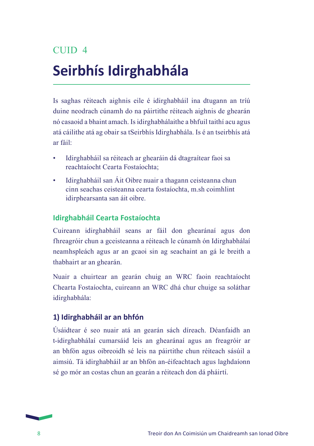## **Seirbhís Idirghabhála**

Is saghas réiteach aighnis eile é idirghabháil ina dtugann an tríú duine neodrach cúnamh do na páirtithe réiteach aighnis de ghearán nó casaoid a bhaint amach. Is idirghabhálaithe a bhfuil taithí acu agus atá cáilithe atá ag obair sa tSeirbhís Idirghabhála. Is é an tseirbhís atá ar fáil:

- Idirghabháil sa réiteach ar ghearáin dá dtagraítear faoi sa reachtaíocht Cearta Fostaíochta;
- Idirghabháil san Áit Oibre nuair a thagann ceisteanna chun cinn seachas ceisteanna cearta fostaíochta, m.sh coimhlint idirphearsanta san áit oibre.

#### **Idirghabháil Cearta Fostaíochta**

Cuireann idirghabháil seans ar fáil don ghearánaí agus don fhreagróir chun a gceisteanna a réiteach le cúnamh ón Idirghabhálaí neamhspleách agus ar an gcaoi sin ag seachaint an gá le breith a thabhairt ar an ghearán.

Nuair a chuirtear an gearán chuig an WRC faoin reachtaíocht Chearta Fostaíochta, cuireann an WRC dhá chur chuige sa soláthar idirghabhála:

#### **1) Idirghabháil ar an bhfón**

Úsáidtear é seo nuair atá an gearán sách díreach. Déanfaidh an t-idirghabhálaí cumarsáid leis an ghearánaí agus an freagróir ar an bhfón agus oibreoidh sé leis na páirtithe chun réiteach sásúil a aimsiú. Tá idirghabháil ar an bhfón an-éifeachtach agus laghdaíonn sé go mór an costas chun an gearán a réiteach don dá pháirtí.

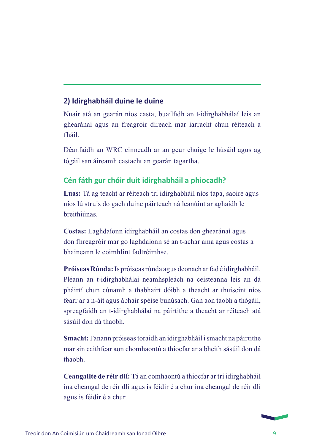#### **2) Idirghabháil duine le duine**

Nuair atá an gearán níos casta, buailfidh an t-idirghabhálaí leis an ghearánaí agus an freagróir díreach mar iarracht chun réiteach a fháil.

Déanfaidh an WRC cinneadh ar an gcur chuige le húsáid agus ag tógáil san áireamh castacht an gearán tagartha.

#### **Cén fáth gur chóir duit idirghabháil a phiocadh?**

**Luas:** Tá ag teacht ar réiteach trí idirghabháil níos tapa, saoire agus níos lú struis do gach duine páirteach ná leanúint ar aghaidh le breithiúnas.

**Costas:** Laghdaíonn idirghabháil an costas don ghearánaí agus don fhreagróir mar go laghdaíonn sé an t-achar ama agus costas a bhaineann le coimhlint fadtréimhse.

**Próiseas Rúnda:** Is próiseas rúnda agus deonach ar fad é idirghabháil. Pléann an t-idirghabhálaí neamhspleách na ceisteanna leis an dá pháirtí chun cúnamh a thabhairt dóibh a theacht ar thuiscint níos fearr ar a n-áit agus ábhair spéise bunúsach. Gan aon taobh a thógáil, spreagfaidh an t-idirghabhálaí na páirtithe a theacht ar réiteach atá sásúil don dá thaobh.

**Smacht:** Fanann próiseas toraidh an idirghabháil i smacht na páirtithe mar sin caithfear aon chomhaontú a thiocfar ar a bheith sásúil don dá thaobh.

**Ceangailte de réir dlí:** Tá an comhaontú a thiocfar ar trí idirghabháil ina cheangal de réir dlí agus is féidir é a chur ina cheangal de réir dlí agus is féidir é a chur.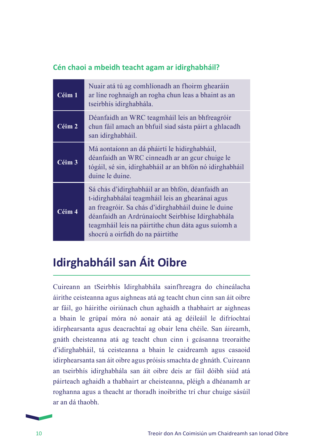#### **Cén chaoi a mbeidh teacht agam ar idirghabháil?**

| Céim 1 | Nuair atá tú ag comhlíonadh an fhoirm ghearáin<br>ar líne roghnaigh an rogha chun leas a bhaint as an<br>tseirbhís idirghabhála.                                                                                                                                                                           |
|--------|------------------------------------------------------------------------------------------------------------------------------------------------------------------------------------------------------------------------------------------------------------------------------------------------------------|
| Céim 2 | Déanfaidh an WRC teagmháil leis an bhfreagróir<br>chun fáil amach an bhfuil siad sásta páirt a ghlacadh<br>san idirghabháil.                                                                                                                                                                               |
| Céim 3 | Má aontaíonn an dá pháirtí le hidirghabháil,<br>déanfaidh an WRC cinneadh ar an gcur chuige le<br>tógáil, sé sin, idirghabháil ar an bhfón nó idirghabháil<br>duine le duine.                                                                                                                              |
| Céim 4 | Sá chás d'idirghabháil ar an bhfón, déanfaidh an<br>t-idirghabhálaí teagmháil leis an ghearánaí agus<br>an freagróir. Sa chás d'idirghabháil duine le duine<br>déanfaidh an Ardrúnaíocht Seirbhíse Idirghabhála<br>teagmháil leis na páirtithe chun dáta agus suíomh a<br>shocrú a oirfidh do na páirtithe |

### **Idirghabháil san Áit Oibre**

Cuireann an tSeirbhís Idirghabhála sainfhreagra do chineálacha áirithe ceisteanna agus aighneas atá ag teacht chun cinn san áit oibre ar fáil, go háirithe oiriúnach chun aghaidh a thabhairt ar aighneas a bhain le grúpaí móra nó aonair atá ag déileáil le difríochtaí idirphearsanta agus deacrachtaí ag obair lena chéile. San áireamh, gnáth cheisteanna atá ag teacht chun cinn i gcásanna treoraithe d'idirghabháil, tá ceisteanna a bhain le caidreamh agus casaoid idirphearsanta san áit oibre agus próisis smachta de ghnáth. Cuireann an tseirbhís idirghabhála san áit oibre deis ar fáil dóibh siúd atá páirteach aghaidh a thabhairt ar cheisteanna, pléigh a dhéanamh ar roghanna agus a theacht ar thoradh inoibrithe trí chur chuige sásúil ar an dá thaobh.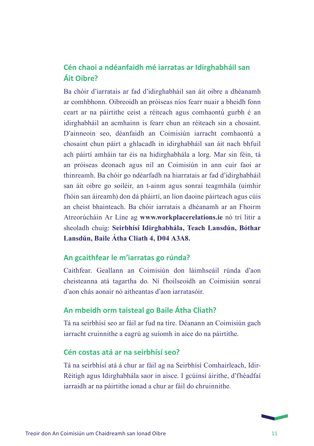#### **Cén chaoi a ndéanfaidh mé iarratas ar Idirghabháil san Áit Oibre?**

Ba chóir d'iarratais ar fad d'idirghabháil san áit oibre a dhéanamh ar comhbhonn. Oibreoidh an próiseas níos fearr nuair a bheidh fonn ceart ar na páirtithe ceist a réiteach agus comhaontú gurbh é an idirghabháil an acmhainn is fearr chun an réiteach sin a chosaint. D'ainneoin seo, déanfaidh an Coimisiún iarracht comhaontú a chosaint chun páirt a ghlacadh in idirghabháil san áit nach bhfuil ach páirtí amháin tar éis na hidirghabhála a lorg. Mar sin féin, tá an próiseas deonach agus níl an Coimisiún in ann cuir faoi ar thinreamh. Ba chóir go ndéarfadh na hiarratais ar fad d'idirghabháil san áit oibre go soiléir, an t-ainm agus sonraí teagmhála (uimhir fhóin san áireamh) don dá pháirtí, an líon daoine páirteach agus cúis an cheist bhainteach. Ba chóir iarratais a dhéanamh ar an Fhoirm Atreorúcháin Ar Líne ag **www.workplacerelations.ie** nó trí litir a sheoladh chuig: **Seirbhísí Idirghabhála, Teach Lansdún, Bóthar Lansdún, Baile Átha Cliath 4, D04 A3A8.** 

#### **An gcaithfear le m'iarratas go rúnda?**

Caithfear. Geallann an Coimisiún don láimhseáil rúnda d'aon cheisteanna atá tagartha do. Ní fhoilseoidh an Coimisiún sonraí d'aon chás aonair nó aitheantas d'aon iarratasóir.

#### **An mbeidh orm taisteal go Baile Átha Cliath?**

Tá na seirbhísí seo ar fáil ar fud na tíre. Déanann an Coimisiún gach iarracht cruinnithe a eagrú ag suíomh in aice do na páirtithe.

#### **Cén costas atá ar na seirbhísí seo?**

Tá na seirbhísí atá á chur ar fáil ag na Seirbhísí Comhairleach, Idir-Réitigh agus Idirghabhála saor in aisce. I gcúinsí áirithe, d'fhéadfaí iarraidh ar na páirtithe ionad a chur ar fáil do chruinnithe.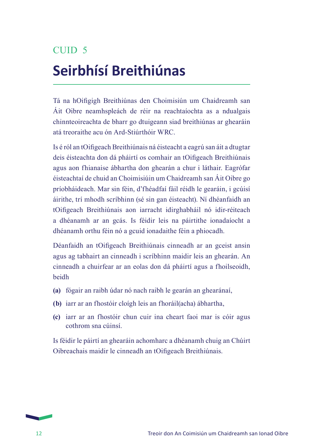# CUID 5 **Seirbhísí Breithiúnas**

Tá na hOifigigh Breithiúnas den Choimisiún um Chaidreamh san Áit Oibre neamhspleách de réir na reachtaíochta as a ndualgais chinnteoireachta de bharr go dtuigeann siad breithiúnas ar ghearáin atá treoraithe acu ón Ard-Stiúrthóir WRC.

Is é ról an tOifigeach Breithiúnais ná éisteacht a eagrú san áit a dtugtar deis éisteachta don dá pháirtí os comhair an tOifigeach Breithiúnais agus aon fhianaise ábhartha don ghearán a chur i láthair. Eagrófar éisteachtaí de chuid an Choimisiúin um Chaidreamh san Áit Oibre go príobháideach. Mar sin féin, d'fhéadfaí fáil réidh le gearáin, i gcúisí áirithe, trí mhodh scríbhinn (sé sin gan éisteacht). Ní dhéanfaidh an tOifigeach Breithiúnais aon iarracht idirghabháil nó idir-réiteach a dhéanamh ar an gcás. Is féidir leis na páirtithe ionadaíocht a dhéanamh orthu féin nó a gcuid ionadaithe féin a phiocadh.

Déanfaidh an tOifigeach Breithiúnais cinneadh ar an gceist ansin agus ag tabhairt an cinneadh i scríbhinn maidir leis an ghearán. An cinneadh a chuirfear ar an eolas don dá pháirtí agus a fhoilseoidh, beidh

- **(a)** fógair an raibh údar nó nach raibh le gearán an ghearánaí,
- **(b)** iarr ar an fhostóir cloígh leis an fhoráil(acha) ábhartha,
- **(c)** iarr ar an fhostóir chun cuir ina cheart faoi mar is cóir agus cothrom sna cúinsí.

Is féidir le páirtí an ghearáin achomharc a dhéanamh chuig an Chúirt Oibreachais maidir le cinneadh an tOifigeach Breithiúnais.

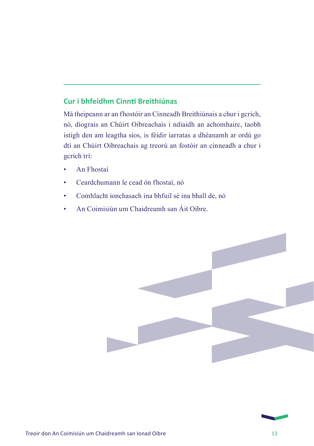#### **Cur i bhfeidhm Cinntí Breithiúnas**

Má theipeann ar an fhostóir an Cinneadh Breithiúnais a chur i gcrích, nó, díograis an Chúirt Oibreachais i ndiaidh an achomhairc, taobh istigh den am leagtha síos, is féidir iarratas a dhéanamh ar ordú go dtí an Chúirt Oibreachais ag treorú an fostóir an cinneadh a chur i gcrích trí:

- An Fhostaí
- Ceardchumann le cead ón fhostaí, nó
- Comhlacht ionchasach ina bhfuil sé ina bhall de, nó
- An Coimisiún um Chaidreamh san Áit Oibre.



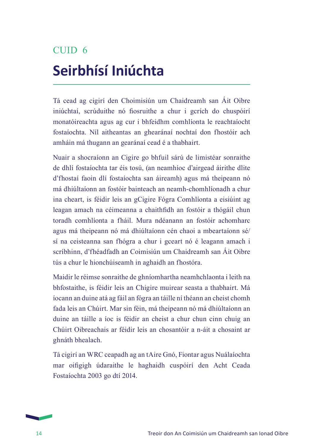# CUID 6 **Seirbhísí Iniúchta**

Tá cead ag cigirí den Choimisiún um Chaidreamh san Áit Oibre iniúchtaí, scrúduithe nó fiosruithe a chur i gcrích do chuspóirí monatóireachta agus ag cur i bhfeidhm comhlíonta le reachtaíocht fostaíochta. Níl aitheantas an ghearánaí nochtaí don fhostóir ach amháin má thugann an gearánaí cead é a thabhairt.

Nuair a shocraíonn an Cigire go bhfuil sárú de limistéar sonraithe de dhlí fostaíochta tar éis tosú, (an neamhíoc d'airgead áirithe dlite d'fhostaí faoin dlí fostaíochta san áireamh) agus má theipeann nó má dhiúltaíonn an fostóir bainteach an neamh-chomhlíonadh a chur ina cheart, is féidir leis an gCigire Fógra Comhlíonta a eisiúint ag leagan amach na céimeanna a chaithfidh an fostóir a thógáil chun toradh comhlíonta a fháil. Mura ndéanann an fostóir achomharc agus má theipeann nó má dhiúltaíonn cén chaoi a mbeartaíonn sé/ sí na ceisteanna san fhógra a chur i gceart nó é leagann amach i scríbhinn, d'fhéadfadh an Coimisiún um Chaidreamh san Áit Oibre tús a chur le hionchúiseamh in aghaidh an fhostóra.

Maidir le réimse sonraithe de ghníomhartha neamhchlaonta i leith na bhfostaithe, is féidir leis an Chigire muirear seasta a thabhairt. Má íocann an duine atá ag fáil an fógra an táille ní théann an cheist chomh fada leis an Chúirt. Mar sin féin, má theipeann nó má dhiúltaíonn an duine an táille a íoc is féidir an cheist a chur chun cinn chuig an Chúirt Oibreachais ar féidir leis an chosantóir a n-áit a chosaint ar ghnáth bhealach.

Tá cigirí an WRC ceapadh ag an tAire Gnó, Fiontar agus Nuálaíochta mar oifigigh údaraithe le haghaidh cuspóirí den Acht Ceada Fostaíochta 2003 go dtí 2014.

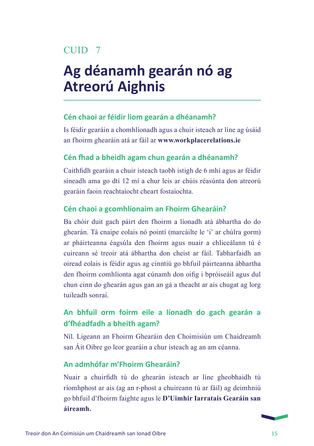### CUID<sub>7</sub>

## **Ag déanamh gearán nó ag Atreorú Aighnis**

#### **Cén chaoi ar féidir liom gearán a dhéanamh?**

Is féidir gearáin a chomhlíonadh agus a chuir isteach ar líne ag úsáid an fhoirm ghearáin atá ar fáil ar **www.workplacerelations.ie**

#### **Cén fhad a bheidh agam chun gearán a dhéanamh?**

Caithfidh gearáin a chuir isteach taobh istigh de 6 mhí agus ar féidir síneadh ama go dtí 12 mí a chur leis ar chúis réasúnta don atreorú gearáin faoin reachtaíocht cheart fostaíochta.

#### **Cén chaoi a gcomhlíonaim an Fhoirm Ghearáin?**

Ba chóir duit gach páirt den fhoirm a líonadh atá ábhartha do do ghearán. Tá cnaipe eolais nó pointí (marcáilte le 'i' ar chúlra gorm) ar pháirteanna éagsúla den fhoirm agus nuair a chliceálann tú é cuireann sé treoir atá ábhartha don cheist ar fáil. Tabharfaidh an oiread eolais is féidir agus ag cinntiú go bhfuil páirteanna ábhartha den fhoirm comhlíonta agat cúnamh don oifig i bpróiseáil agus dul chun cinn do ghearán agus gan an gá a theacht ar ais chugat ag lorg tuileadh sonraí.

#### **An bhfuil orm foirm eile a líonadh do gach gearán a d'fhéadfadh a bheith agam?**

Níl. Ligeann an Fhoirm Ghearáin den Choimisiún um Chaidreamh san Áit Oibre go leor gearáin a chur isteach ag an am céanna.

#### **An admhófar m'Fhoirm Ghearáin?**

Nuair a chuirfidh tú do ghearán isteach ar líne gheobhaidh tú ríomhphost ar ais (ag an r-phost a chuireann tú ar fáil) ag deimhniú go bhfuil d'fhoirm faighte agus le **D'Uimhir Iarratais Gearáin san áireamh.**